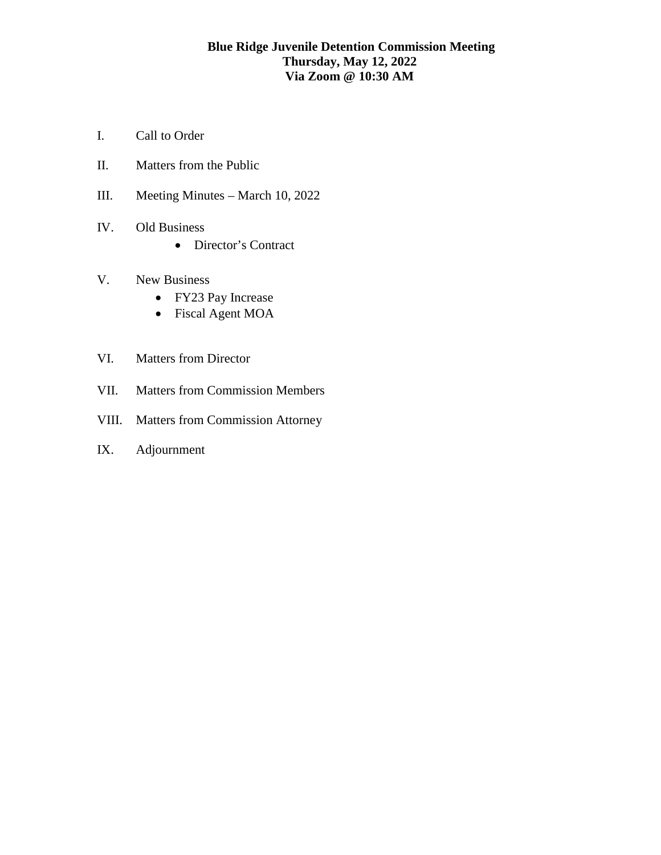# **Blue Ridge Juvenile Detention Commission Meeting Thursday, May 12, 2022 Via Zoom @ 10:30 AM**

- I. Call to Order
- II. Matters from the Public
- III. Meeting Minutes March 10, 2022
- IV. Old Business
	- Director's Contract
- V. New Business
	- FY23 Pay Increase
	- Fiscal Agent MOA
- VI. Matters from Director
- VII. Matters from Commission Members
- VIII. Matters from Commission Attorney
- IX. Adjournment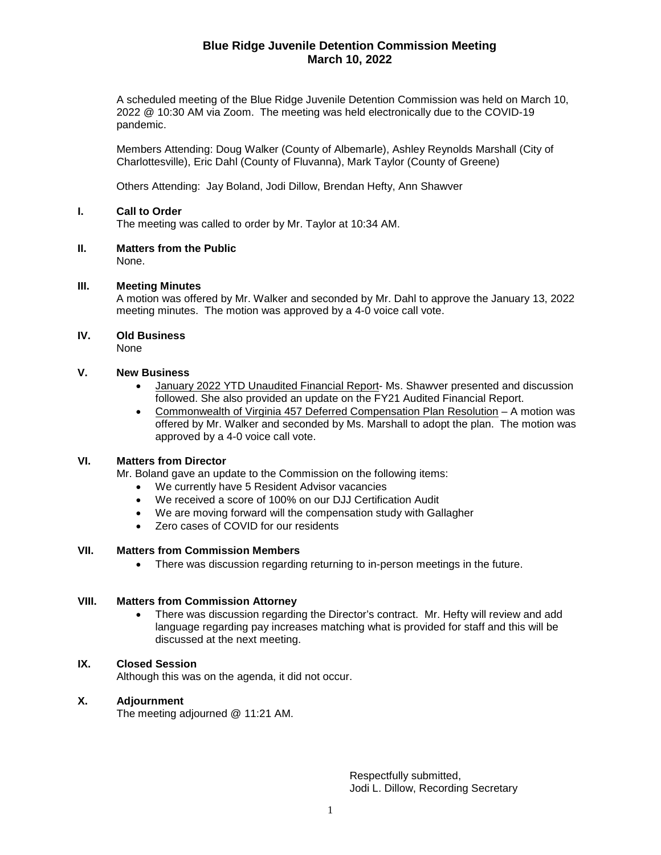## **Blue Ridge Juvenile Detention Commission Meeting March 10, 2022**

A scheduled meeting of the Blue Ridge Juvenile Detention Commission was held on March 10, 2022 @ 10:30 AM via Zoom. The meeting was held electronically due to the COVID-19 pandemic.

Members Attending: Doug Walker (County of Albemarle), Ashley Reynolds Marshall (City of Charlottesville), Eric Dahl (County of Fluvanna), Mark Taylor (County of Greene)

Others Attending: Jay Boland, Jodi Dillow, Brendan Hefty, Ann Shawver

### **I. Call to Order**

The meeting was called to order by Mr. Taylor at 10:34 AM.

**II. Matters from the Public**

None.

#### **III. Meeting Minutes**

A motion was offered by Mr. Walker and seconded by Mr. Dahl to approve the January 13, 2022 meeting minutes. The motion was approved by a 4-0 voice call vote.

#### **IV. Old Business**

None

#### **V. New Business**

- January 2022 YTD Unaudited Financial Report- Ms. Shawver presented and discussion followed. She also provided an update on the FY21 Audited Financial Report.
- Commonwealth of Virginia 457 Deferred Compensation Plan Resolution A motion was offered by Mr. Walker and seconded by Ms. Marshall to adopt the plan. The motion was approved by a 4-0 voice call vote.

## **VI. Matters from Director**

Mr. Boland gave an update to the Commission on the following items:

- We currently have 5 Resident Advisor vacancies
- We received a score of 100% on our DJJ Certification Audit
- We are moving forward will the compensation study with Gallagher
- Zero cases of COVID for our residents

#### **VII. Matters from Commission Members**

• There was discussion regarding returning to in-person meetings in the future.

### **VIII. Matters from Commission Attorney**

• There was discussion regarding the Director's contract. Mr. Hefty will review and add language regarding pay increases matching what is provided for staff and this will be discussed at the next meeting.

#### **IX. Closed Session**

Although this was on the agenda, it did not occur.

#### **X. Adjournment**

The meeting adjourned @ 11:21 AM.

Respectfully submitted, Jodi L. Dillow, Recording Secretary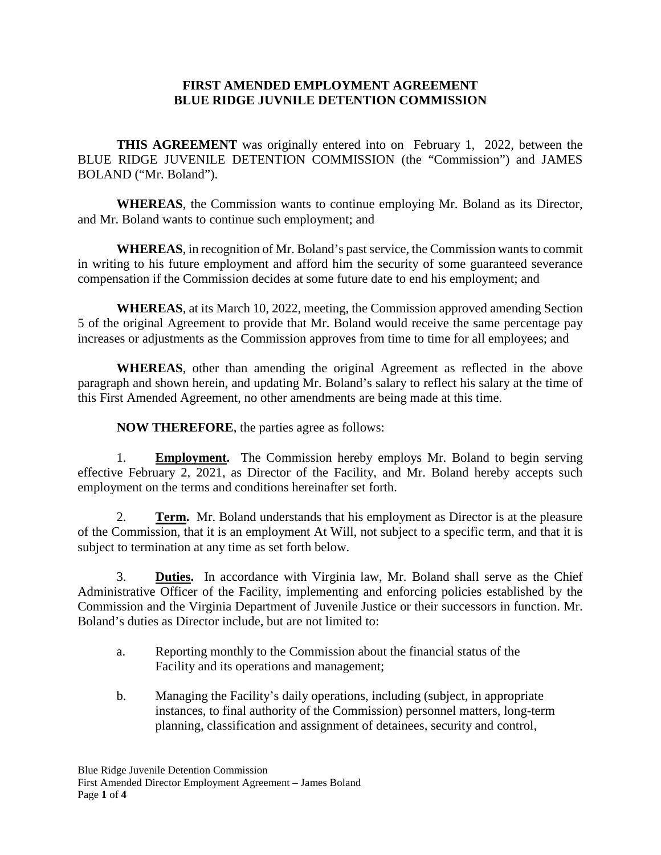# **FIRST AMENDED EMPLOYMENT AGREEMENT BLUE RIDGE JUVNILE DETENTION COMMISSION**

**THIS AGREEMENT** was originally entered into on February 1, 2022, between the BLUE RIDGE JUVENILE DETENTION COMMISSION (the "Commission") and JAMES BOLAND ("Mr. Boland").

**WHEREAS**, the Commission wants to continue employing Mr. Boland as its Director, and Mr. Boland wants to continue such employment; and

**WHEREAS**, in recognition of Mr. Boland's past service, the Commission wants to commit in writing to his future employment and afford him the security of some guaranteed severance compensation if the Commission decides at some future date to end his employment; and

**WHEREAS**, at its March 10, 2022, meeting, the Commission approved amending Section 5 of the original Agreement to provide that Mr. Boland would receive the same percentage pay increases or adjustments as the Commission approves from time to time for all employees; and

**WHEREAS**, other than amending the original Agreement as reflected in the above paragraph and shown herein, and updating Mr. Boland's salary to reflect his salary at the time of this First Amended Agreement, no other amendments are being made at this time.

**NOW THEREFORE**, the parties agree as follows:

1. **Employment.** The Commission hereby employs Mr. Boland to begin serving effective February 2, 2021, as Director of the Facility, and Mr. Boland hereby accepts such employment on the terms and conditions hereinafter set forth.

2. **Term.** Mr. Boland understands that his employment as Director is at the pleasure of the Commission, that it is an employment At Will, not subject to a specific term, and that it is subject to termination at any time as set forth below.

3. **Duties.** In accordance with Virginia law, Mr. Boland shall serve as the Chief Administrative Officer of the Facility, implementing and enforcing policies established by the Commission and the Virginia Department of Juvenile Justice or their successors in function. Mr. Boland's duties as Director include, but are not limited to:

- a. Reporting monthly to the Commission about the financial status of the Facility and its operations and management;
- b. Managing the Facility's daily operations, including (subject, in appropriate instances, to final authority of the Commission) personnel matters, long-term planning, classification and assignment of detainees, security and control,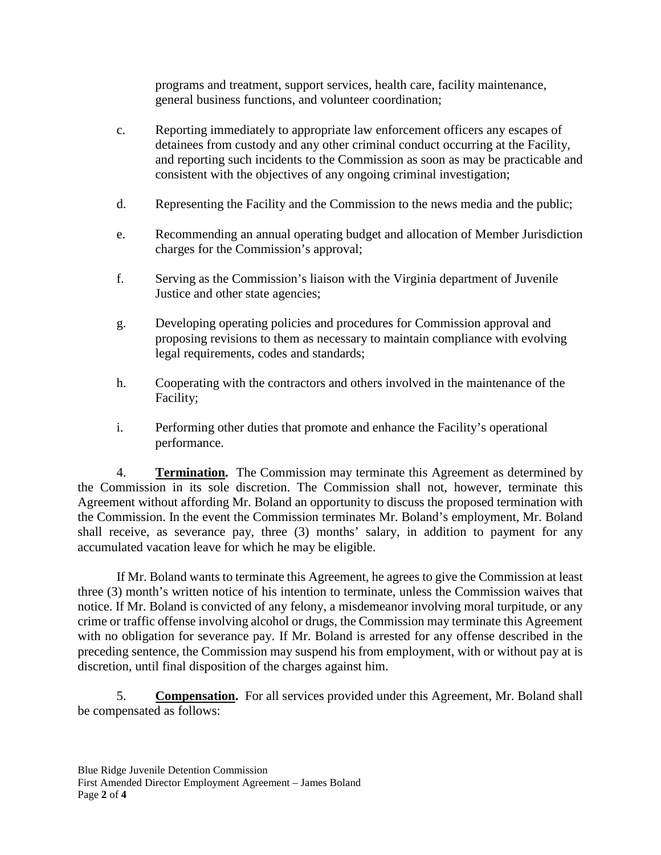programs and treatment, support services, health care, facility maintenance, general business functions, and volunteer coordination;

- c. Reporting immediately to appropriate law enforcement officers any escapes of detainees from custody and any other criminal conduct occurring at the Facility, and reporting such incidents to the Commission as soon as may be practicable and consistent with the objectives of any ongoing criminal investigation;
- d. Representing the Facility and the Commission to the news media and the public;
- e. Recommending an annual operating budget and allocation of Member Jurisdiction charges for the Commission's approval;
- f. Serving as the Commission's liaison with the Virginia department of Juvenile Justice and other state agencies;
- g. Developing operating policies and procedures for Commission approval and proposing revisions to them as necessary to maintain compliance with evolving legal requirements, codes and standards;
- h. Cooperating with the contractors and others involved in the maintenance of the Facility;
- i. Performing other duties that promote and enhance the Facility's operational performance.

4. **Termination.** The Commission may terminate this Agreement as determined by the Commission in its sole discretion. The Commission shall not, however, terminate this Agreement without affording Mr. Boland an opportunity to discuss the proposed termination with the Commission. In the event the Commission terminates Mr. Boland's employment, Mr. Boland shall receive, as severance pay, three (3) months' salary, in addition to payment for any accumulated vacation leave for which he may be eligible.

If Mr. Boland wants to terminate this Agreement, he agrees to give the Commission at least three (3) month's written notice of his intention to terminate, unless the Commission waives that notice. If Mr. Boland is convicted of any felony, a misdemeanor involving moral turpitude, or any crime or traffic offense involving alcohol or drugs, the Commission may terminate this Agreement with no obligation for severance pay. If Mr. Boland is arrested for any offense described in the preceding sentence, the Commission may suspend his from employment, with or without pay at is discretion, until final disposition of the charges against him.

5. **Compensation.** For all services provided under this Agreement, Mr. Boland shall be compensated as follows: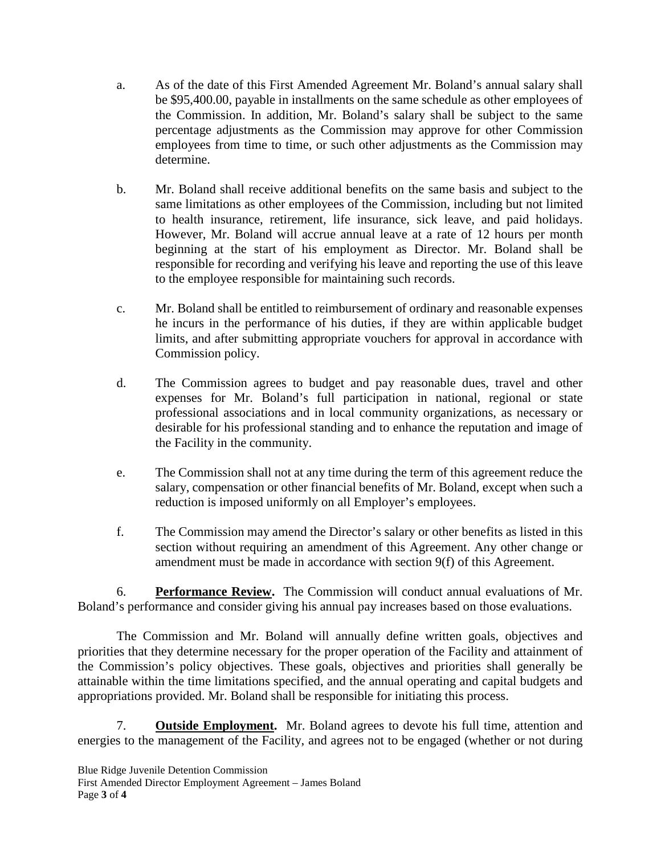- a. As of the date of this First Amended Agreement Mr. Boland's annual salary shall be \$95,400.00, payable in installments on the same schedule as other employees of the Commission. In addition, Mr. Boland's salary shall be subject to the same percentage adjustments as the Commission may approve for other Commission employees from time to time, or such other adjustments as the Commission may determine.
- b. Mr. Boland shall receive additional benefits on the same basis and subject to the same limitations as other employees of the Commission, including but not limited to health insurance, retirement, life insurance, sick leave, and paid holidays. However, Mr. Boland will accrue annual leave at a rate of 12 hours per month beginning at the start of his employment as Director. Mr. Boland shall be responsible for recording and verifying his leave and reporting the use of this leave to the employee responsible for maintaining such records.
- c. Mr. Boland shall be entitled to reimbursement of ordinary and reasonable expenses he incurs in the performance of his duties, if they are within applicable budget limits, and after submitting appropriate vouchers for approval in accordance with Commission policy.
- d. The Commission agrees to budget and pay reasonable dues, travel and other expenses for Mr. Boland's full participation in national, regional or state professional associations and in local community organizations, as necessary or desirable for his professional standing and to enhance the reputation and image of the Facility in the community.
- e. The Commission shall not at any time during the term of this agreement reduce the salary, compensation or other financial benefits of Mr. Boland, except when such a reduction is imposed uniformly on all Employer's employees.
- f. The Commission may amend the Director's salary or other benefits as listed in this section without requiring an amendment of this Agreement. Any other change or amendment must be made in accordance with section 9(f) of this Agreement.

6. **Performance Review.** The Commission will conduct annual evaluations of Mr. Boland's performance and consider giving his annual pay increases based on those evaluations.

The Commission and Mr. Boland will annually define written goals, objectives and priorities that they determine necessary for the proper operation of the Facility and attainment of the Commission's policy objectives. These goals, objectives and priorities shall generally be attainable within the time limitations specified, and the annual operating and capital budgets and appropriations provided. Mr. Boland shall be responsible for initiating this process.

7. **Outside Employment.** Mr. Boland agrees to devote his full time, attention and energies to the management of the Facility, and agrees not to be engaged (whether or not during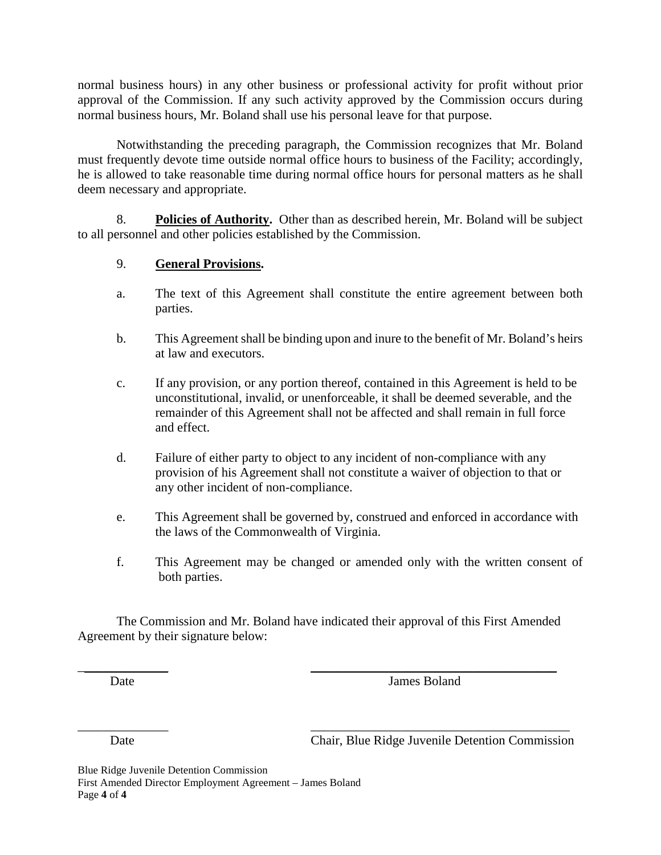normal business hours) in any other business or professional activity for profit without prior approval of the Commission. If any such activity approved by the Commission occurs during normal business hours, Mr. Boland shall use his personal leave for that purpose.

Notwithstanding the preceding paragraph, the Commission recognizes that Mr. Boland must frequently devote time outside normal office hours to business of the Facility; accordingly, he is allowed to take reasonable time during normal office hours for personal matters as he shall deem necessary and appropriate.

8. **Policies of Authority.** Other than as described herein, Mr. Boland will be subject to all personnel and other policies established by the Commission.

## 9. **General Provisions.**

- a. The text of this Agreement shall constitute the entire agreement between both parties.
- b. This Agreement shall be binding upon and inure to the benefit of Mr. Boland's heirs at law and executors.
- c. If any provision, or any portion thereof, contained in this Agreement is held to be unconstitutional, invalid, or unenforceable, it shall be deemed severable, and the remainder of this Agreement shall not be affected and shall remain in full force and effect.
- d. Failure of either party to object to any incident of non-compliance with any provision of his Agreement shall not constitute a waiver of objection to that or any other incident of non-compliance.
- e. This Agreement shall be governed by, construed and enforced in accordance with the laws of the Commonwealth of Virginia.
- f. This Agreement may be changed or amended only with the written consent of both parties.

The Commission and Mr. Boland have indicated their approval of this First Amended Agreement by their signature below:

 $\frac{1}{2}$  , and the contract of the contract of the contract of the contract of the contract of the contract of the contract of the contract of the contract of the contract of the contract of the contract of the contract

\_\_\_\_\_\_\_\_\_\_\_\_\_\_ \_\_\_\_\_\_\_\_\_\_\_\_\_\_\_\_\_\_\_\_\_\_\_\_\_\_\_\_\_\_\_\_\_\_\_\_\_\_\_\_

Date James Boland

Date Chair, Blue Ridge Juvenile Detention Commission

Blue Ridge Juvenile Detention Commission First Amended Director Employment Agreement – James Boland Page **4** of **4**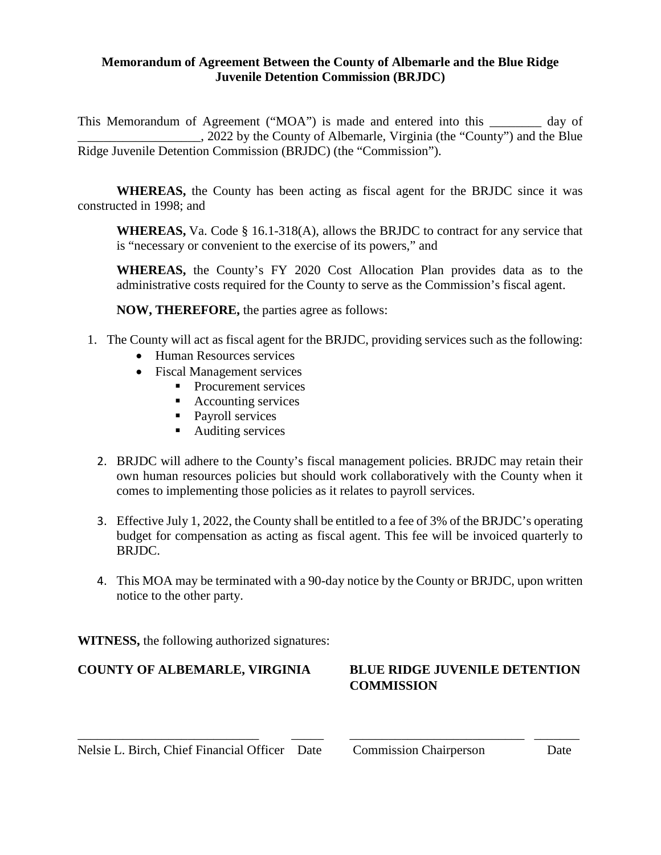## **Memorandum of Agreement Between the County of Albemarle and the Blue Ridge Juvenile Detention Commission (BRJDC)**

This Memorandum of Agreement ("MOA") is made and entered into this day of \_\_\_\_\_\_\_\_\_\_\_\_\_\_\_\_\_\_\_, 2022 by the County of Albemarle, Virginia (the "County") and the Blue Ridge Juvenile Detention Commission (BRJDC) (the "Commission").

**WHEREAS,** the County has been acting as fiscal agent for the BRJDC since it was constructed in 1998; and

**WHEREAS,** Va. Code § 16.1-318(A), allows the BRJDC to contract for any service that is "necessary or convenient to the exercise of its powers," and

**WHEREAS,** the County's FY 2020 Cost Allocation Plan provides data as to the administrative costs required for the County to serve as the Commission's fiscal agent.

**NOW, THEREFORE,** the parties agree as follows:

- 1. The County will act as fiscal agent for the BRJDC, providing services such as the following:
	- Human Resources services
	- Fiscal Management services
		- **Procurement services** 
			- Accounting services
			- Payroll services
			- Auditing services
	- 2. BRJDC will adhere to the County's fiscal management policies. BRJDC may retain their own human resources policies but should work collaboratively with the County when it comes to implementing those policies as it relates to payroll services.
	- 3. Effective July 1, 2022, the County shall be entitled to a fee of 3% of the BRJDC's operating budget for compensation as acting as fiscal agent. This fee will be invoiced quarterly to BRJDC.
	- 4. This MOA may be terminated with a 90-day notice by the County or BRJDC, upon written notice to the other party.

\_\_\_\_\_\_\_\_\_\_\_\_\_\_\_\_\_\_\_\_\_\_\_\_\_\_\_\_ \_\_\_\_\_ \_\_\_\_\_\_\_\_\_\_\_\_\_\_\_\_\_\_\_\_\_\_\_\_\_\_\_ \_\_\_\_\_\_\_

**WITNESS,** the following authorized signatures:

# **COUNTY OF ALBEMARLE, VIRGINIA BLUE RIDGE JUVENILE DETENTION**

# **COMMISSION**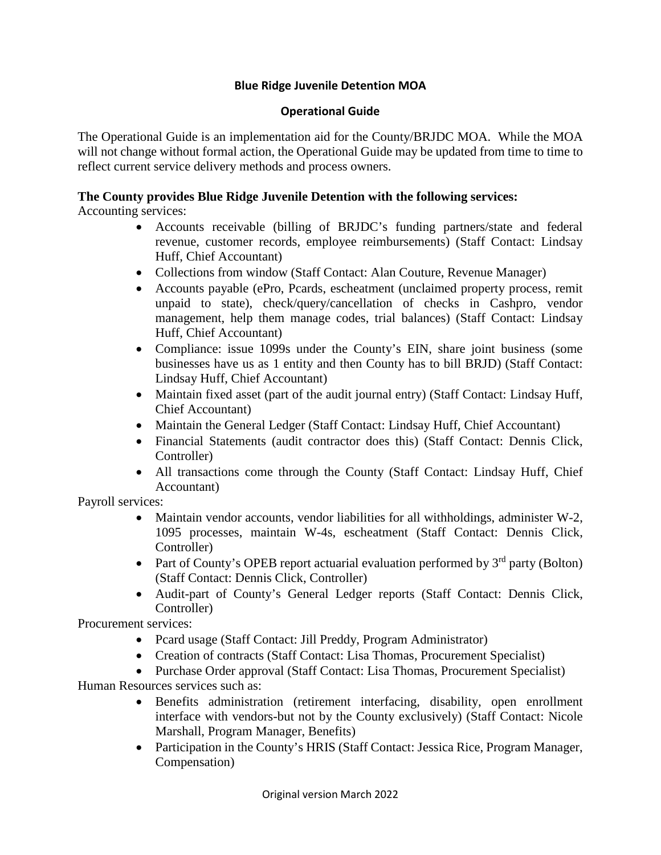# **Blue Ridge Juvenile Detention MOA**

## **Operational Guide**

The Operational Guide is an implementation aid for the County/BRJDC MOA. While the MOA will not change without formal action, the Operational Guide may be updated from time to time to reflect current service delivery methods and process owners.

# **The County provides Blue Ridge Juvenile Detention with the following services:**

Accounting services:

- Accounts receivable (billing of BRJDC's funding partners/state and federal revenue, customer records, employee reimbursements) (Staff Contact: Lindsay Huff, Chief Accountant)
- Collections from window (Staff Contact: Alan Couture, Revenue Manager)
- Accounts payable (ePro, Pcards, escheatment (unclaimed property process, remit unpaid to state), check/query/cancellation of checks in Cashpro, vendor management, help them manage codes, trial balances) (Staff Contact: Lindsay Huff, Chief Accountant)
- Compliance: issue 1099s under the County's EIN, share joint business (some businesses have us as 1 entity and then County has to bill BRJD) (Staff Contact: Lindsay Huff, Chief Accountant)
- Maintain fixed asset (part of the audit journal entry) (Staff Contact: Lindsay Huff, Chief Accountant)
- Maintain the General Ledger (Staff Contact: Lindsay Huff, Chief Accountant)
- Financial Statements (audit contractor does this) (Staff Contact: Dennis Click, Controller)
- All transactions come through the County (Staff Contact: Lindsay Huff, Chief Accountant)

Payroll services:

- Maintain vendor accounts, vendor liabilities for all withholdings, administer W-2, 1095 processes, maintain W-4s, escheatment (Staff Contact: Dennis Click, Controller)
- Part of County's OPEB report actuarial evaluation performed by  $3<sup>rd</sup>$  party (Bolton) (Staff Contact: Dennis Click, Controller)
- Audit-part of County's General Ledger reports (Staff Contact: Dennis Click, Controller)

Procurement services:

- Pcard usage (Staff Contact: Jill Preddy, Program Administrator)
- Creation of contracts (Staff Contact: Lisa Thomas, Procurement Specialist)
- Purchase Order approval (Staff Contact: Lisa Thomas, Procurement Specialist)

Human Resources services such as:

- Benefits administration (retirement interfacing, disability, open enrollment interface with vendors-but not by the County exclusively) (Staff Contact: Nicole Marshall, Program Manager, Benefits)
- Participation in the County's HRIS (Staff Contact: Jessica Rice, Program Manager, Compensation)